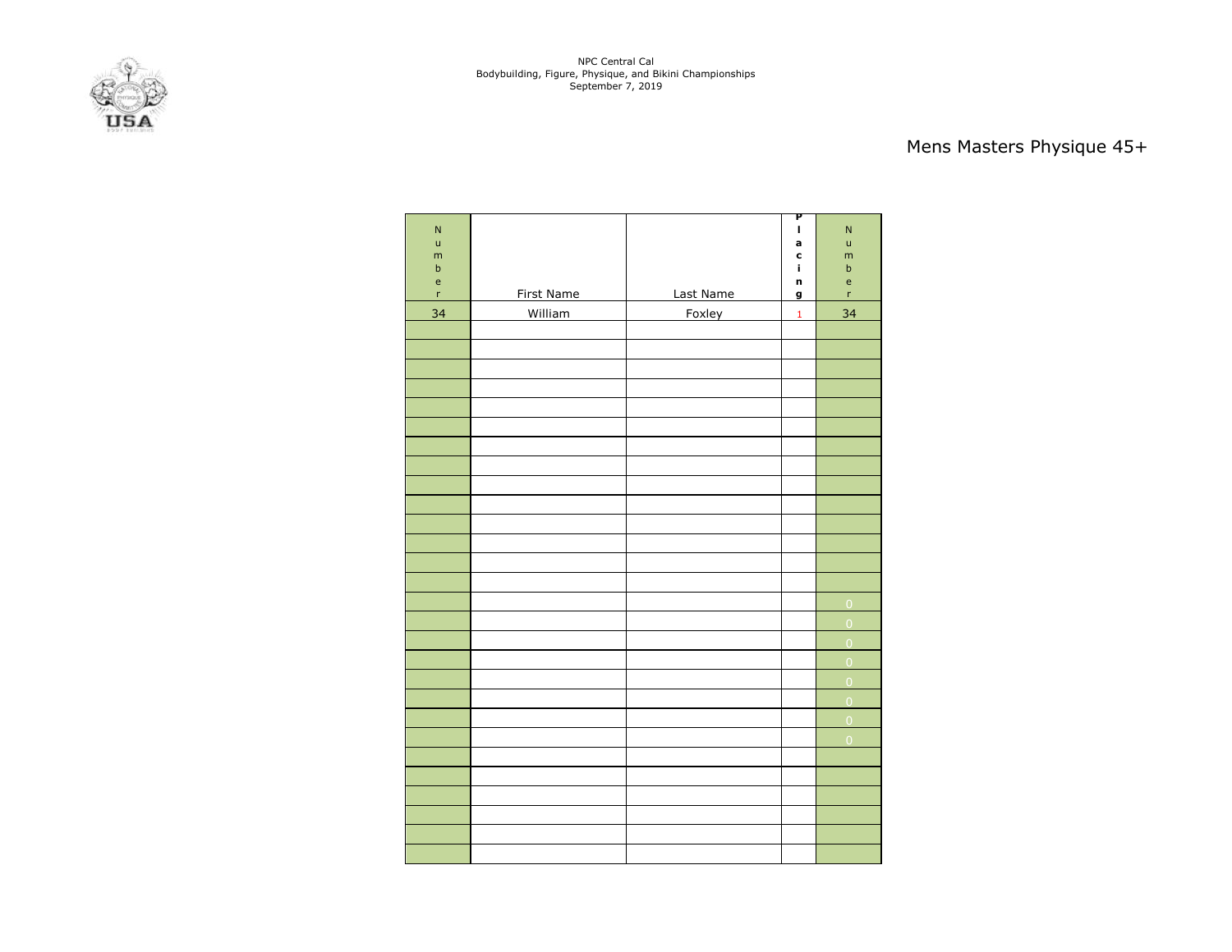NPC Central Cal Bodybuilding, Figure, Physique, and Bikini Championships September 7, 2019



# Mens Masters Physique 45+

| N                                              |            |           | P<br>$\mathbf{I}$ | N                                          |
|------------------------------------------------|------------|-----------|-------------------|--------------------------------------------|
| ū                                              |            |           | a                 | ū                                          |
| m<br>$\mathsf b$                               |            |           | c<br>î.           | m<br>$\sf b$                               |
| $\mathsf{e}% _{0}\left( \mathsf{e}_{0}\right)$ |            |           | n                 | $\mathsf{e}% _{0}\left( \mathsf{e}\right)$ |
| $\bar{r}$                                      | First Name | Last Name | g                 | 'n                                         |
| 34                                             | William    | Foxley    | $\mathbf 1$       | 34                                         |
|                                                |            |           |                   |                                            |
|                                                |            |           |                   |                                            |
|                                                |            |           |                   |                                            |
|                                                |            |           |                   |                                            |
|                                                |            |           |                   |                                            |
|                                                |            |           |                   |                                            |
|                                                |            |           |                   |                                            |
|                                                |            |           |                   |                                            |
|                                                |            |           |                   |                                            |
|                                                |            |           |                   |                                            |
|                                                |            |           |                   |                                            |
|                                                |            |           |                   |                                            |
|                                                |            |           |                   |                                            |
|                                                |            |           |                   |                                            |
|                                                |            |           |                   | $\overline{0}$<br>$\overline{0}$           |
|                                                |            |           |                   | $\overline{0}$                             |
|                                                |            |           |                   | $\overline{0}$                             |
|                                                |            |           |                   | $\overline{0}$                             |
|                                                |            |           |                   | $\overline{0}$                             |
|                                                |            |           |                   | $\overline{0}$                             |
|                                                |            |           |                   | $\overline{0}$                             |
|                                                |            |           |                   |                                            |
|                                                |            |           |                   |                                            |
|                                                |            |           |                   |                                            |
|                                                |            |           |                   |                                            |
|                                                |            |           |                   |                                            |
|                                                |            |           |                   |                                            |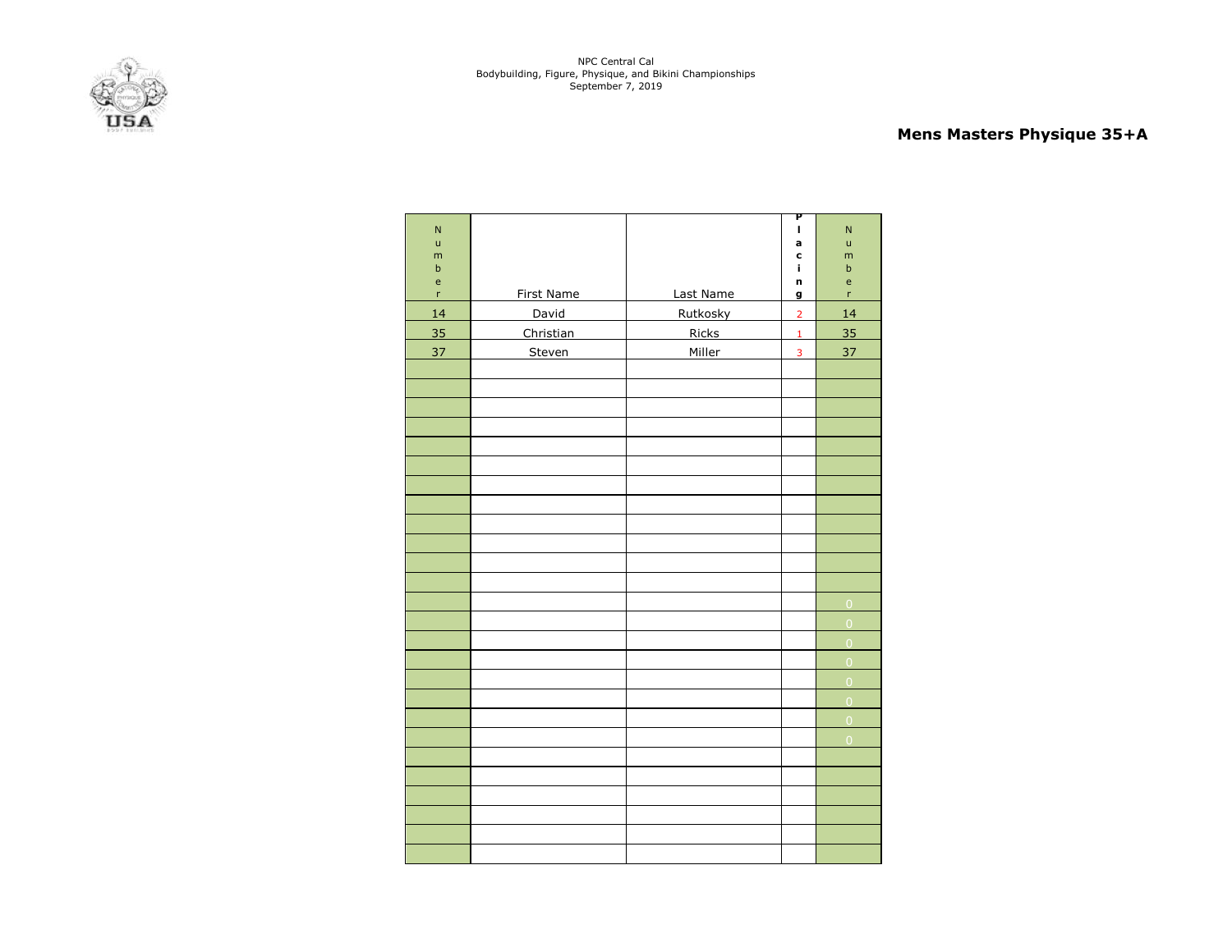NPC Central Cal Bodybuilding, Figure, Physique, and Bikini Championships September 7, 2019



# **Mens Masters Physique 35+A**

| $\overline{\mathsf{N}}$<br>ū               |            |           | Ρ<br>$\mathbf I$<br>a | $\overline{\mathsf{N}}$<br>$\mathsf{u}$    |
|--------------------------------------------|------------|-----------|-----------------------|--------------------------------------------|
| ${\sf m}$<br>$\mathsf b$                   |            |           | C<br>Ĩ.               | m<br>$\sf b$                               |
| $\mathsf{e}% _{0}\left( \mathsf{e}\right)$ |            |           | n                     | $\mathsf{e}% _{0}\left( \mathsf{e}\right)$ |
| 'n                                         | First Name | Last Name | g                     | 'n                                         |
| 14                                         | David      | Rutkosky  | $\overline{2}$        | 14                                         |
| 35                                         | Christian  | Ricks     | $\mathbf 1$           | 35                                         |
| 37                                         | Steven     | Miller    | 3                     | 37                                         |
|                                            |            |           |                       |                                            |
|                                            |            |           |                       |                                            |
|                                            |            |           |                       |                                            |
|                                            |            |           |                       |                                            |
|                                            |            |           |                       |                                            |
|                                            |            |           |                       |                                            |
|                                            |            |           |                       |                                            |
|                                            |            |           |                       |                                            |
|                                            |            |           |                       |                                            |
|                                            |            |           |                       |                                            |
|                                            |            |           |                       |                                            |
|                                            |            |           |                       |                                            |
|                                            |            |           |                       | $\overline{0}$                             |
|                                            |            |           |                       | $\overline{0}$                             |
|                                            |            |           |                       | $\overline{0}$                             |
|                                            |            |           |                       | $\overline{0}$                             |
|                                            |            |           |                       | $\overline{0}$                             |
|                                            |            |           |                       | $\overline{0}$                             |
|                                            |            |           |                       | $\overline{0}$                             |
|                                            |            |           |                       | $\overline{0}$                             |
|                                            |            |           |                       |                                            |
|                                            |            |           |                       |                                            |
|                                            |            |           |                       |                                            |
|                                            |            |           |                       |                                            |
|                                            |            |           |                       |                                            |
|                                            |            |           |                       |                                            |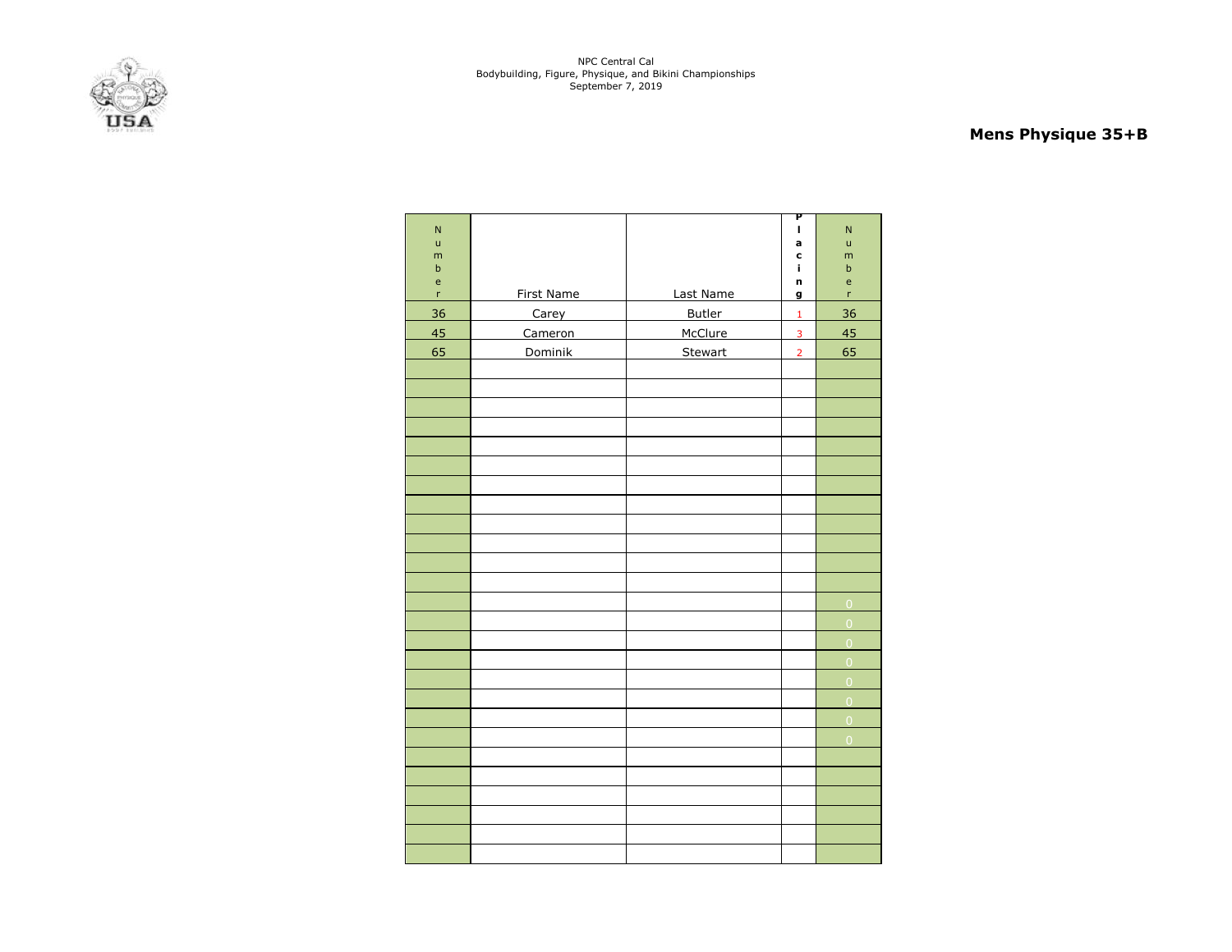

# **Mens Physique 35+B**

| ${\sf N}$<br>$\mathsf{u}$<br>m<br>$\sf b$                      |            |                | P<br>I,<br>a<br>C<br>j. | $\overline{\mathsf{N}}$<br>ū<br>m<br>$\mathsf b$ |
|----------------------------------------------------------------|------------|----------------|-------------------------|--------------------------------------------------|
| $\mathsf{e}% _{0}\left( \mathsf{e}_{0}\right)$<br>$\mathsf{r}$ | First Name | Last Name      | n<br>g                  | $\mathsf{e}$<br>r                                |
| 36                                                             | Carey      | Butler         | $\mathbf 1$             | 36                                               |
| 45                                                             | Cameron    | McClure        | 3                       | 45                                               |
| 65                                                             | Dominik    | <b>Stewart</b> | $\overline{2}$          | 65                                               |
|                                                                |            |                |                         |                                                  |
|                                                                |            |                |                         |                                                  |
|                                                                |            |                |                         |                                                  |
|                                                                |            |                |                         |                                                  |
|                                                                |            |                |                         |                                                  |
|                                                                |            |                |                         |                                                  |
|                                                                |            |                |                         |                                                  |
|                                                                |            |                |                         |                                                  |
|                                                                |            |                |                         |                                                  |
|                                                                |            |                |                         |                                                  |
|                                                                |            |                |                         |                                                  |
|                                                                |            |                |                         |                                                  |
|                                                                |            |                |                         | $\overline{O}$                                   |
|                                                                |            |                |                         | $\overline{0}$                                   |
|                                                                |            |                |                         | $\overline{0}$                                   |
|                                                                |            |                |                         | $\overline{0}$                                   |
|                                                                |            |                |                         | $\overline{0}$                                   |
|                                                                |            |                |                         | $\overline{0}$                                   |
|                                                                |            |                |                         | $\overline{0}$                                   |
|                                                                |            |                |                         | $\overline{0}$                                   |
|                                                                |            |                |                         |                                                  |
|                                                                |            |                |                         |                                                  |
|                                                                |            |                |                         |                                                  |
|                                                                |            |                |                         |                                                  |
|                                                                |            |                |                         |                                                  |
|                                                                |            |                |                         |                                                  |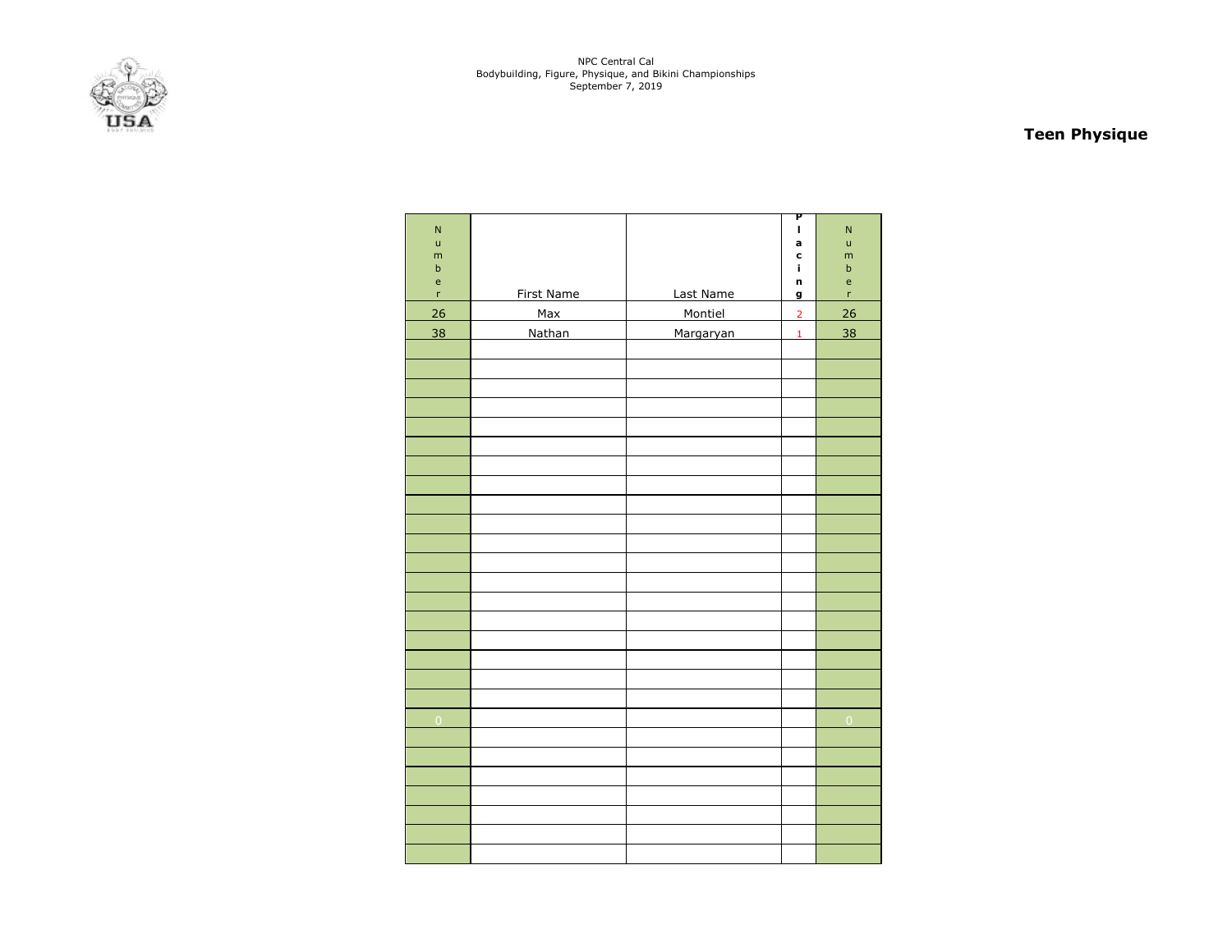

# **Teen Physique**

| $\overline{\mathsf{N}}$<br>ū<br>m<br>$\sf b$                         |               |           | P<br>I<br>a<br>c<br>î, | $\mathsf{N}$<br>ū<br>m<br>$\mathsf b$ |
|----------------------------------------------------------------------|---------------|-----------|------------------------|---------------------------------------|
| $\mathsf{e}% _{0}\left( \mathsf{e}_{0}\right)$<br>$\bar{\mathbf{r}}$ | First Name    | Last Name | n<br>g                 | $\mathsf{e}$<br>'n                    |
| 26                                                                   | Max           | Montiel   | $\overline{2}$         | 26                                    |
| 38                                                                   | <b>Nathan</b> | Margaryan | $\mathbf 1$            | 38                                    |
|                                                                      |               |           |                        |                                       |
|                                                                      |               |           |                        |                                       |
|                                                                      |               |           |                        |                                       |
|                                                                      |               |           |                        |                                       |
|                                                                      |               |           |                        |                                       |
|                                                                      |               |           |                        |                                       |
|                                                                      |               |           |                        |                                       |
|                                                                      |               |           |                        |                                       |
|                                                                      |               |           |                        |                                       |
|                                                                      |               |           |                        |                                       |
|                                                                      |               |           |                        |                                       |
|                                                                      |               |           |                        |                                       |
|                                                                      |               |           |                        |                                       |
|                                                                      |               |           |                        |                                       |
|                                                                      |               |           |                        |                                       |
|                                                                      |               |           |                        |                                       |
|                                                                      |               |           |                        |                                       |
|                                                                      |               |           |                        |                                       |
| $\overline{0}$                                                       |               |           |                        | $\mathbf 0$                           |
|                                                                      |               |           |                        |                                       |
|                                                                      |               |           |                        |                                       |
|                                                                      |               |           |                        |                                       |
|                                                                      |               |           |                        |                                       |
|                                                                      |               |           |                        |                                       |
|                                                                      |               |           |                        |                                       |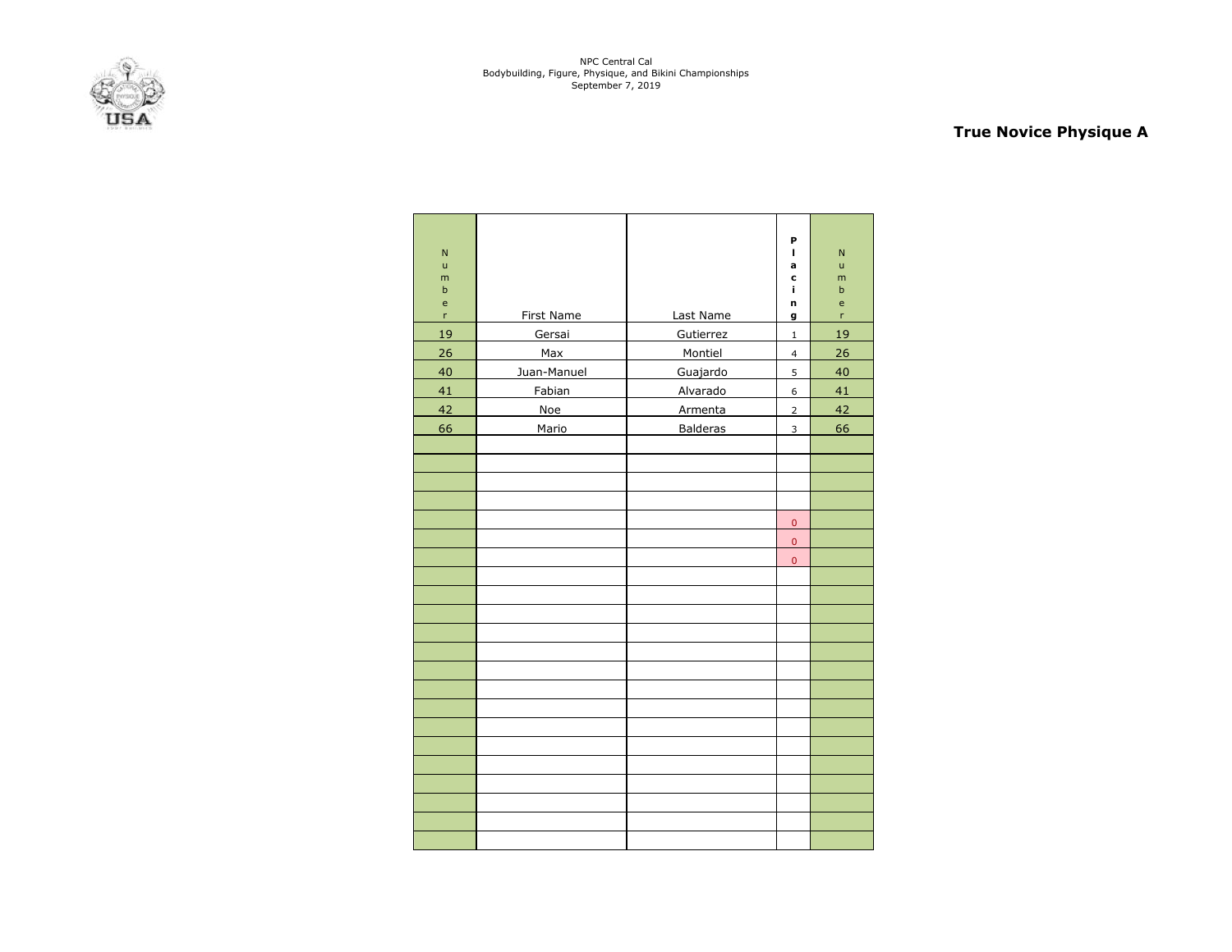

# **True Novice Physique A**

| N<br>$\mathsf{u}$<br>m<br>b<br>$\mathsf{e}% _{t}\left( t\right)$<br>'n | First Name  | Last Name       | P<br>I<br>a<br>c<br>i,<br>n<br>g | $\overline{N}$<br>ū<br>m<br>b<br>e<br>'n |
|------------------------------------------------------------------------|-------------|-----------------|----------------------------------|------------------------------------------|
| 19                                                                     | Gersai      | Gutierrez       | $\mathbf 1$                      | <u>19</u>                                |
| 26                                                                     | Max         | Montiel         | $\overline{\mathbf{4}}$          | 26                                       |
| 40                                                                     | Juan-Manuel | Guajardo        | 5                                | 40                                       |
| 41                                                                     | Fabian      | Alvarado        | 6                                | 41                                       |
| 42                                                                     | Noe         | Armenta         | $\overline{2}$                   | 42                                       |
| 66                                                                     | Mario       | <b>Balderas</b> | 3                                | 66                                       |
|                                                                        |             |                 |                                  |                                          |
|                                                                        |             |                 |                                  |                                          |
|                                                                        |             |                 |                                  |                                          |
|                                                                        |             |                 |                                  |                                          |
|                                                                        |             |                 | $\pmb{0}$                        |                                          |
|                                                                        |             |                 | $\pmb{0}$                        |                                          |
|                                                                        |             |                 | $\overline{0}$                   |                                          |
|                                                                        |             |                 |                                  |                                          |
|                                                                        |             |                 |                                  |                                          |
|                                                                        |             |                 |                                  |                                          |
|                                                                        |             |                 |                                  |                                          |
|                                                                        |             |                 |                                  |                                          |
|                                                                        |             |                 |                                  |                                          |
|                                                                        |             |                 |                                  |                                          |
|                                                                        |             |                 |                                  |                                          |
|                                                                        |             |                 |                                  |                                          |
|                                                                        |             |                 |                                  |                                          |
|                                                                        |             |                 |                                  |                                          |
|                                                                        |             |                 |                                  |                                          |
|                                                                        |             |                 |                                  |                                          |
|                                                                        |             |                 |                                  |                                          |
|                                                                        |             |                 |                                  |                                          |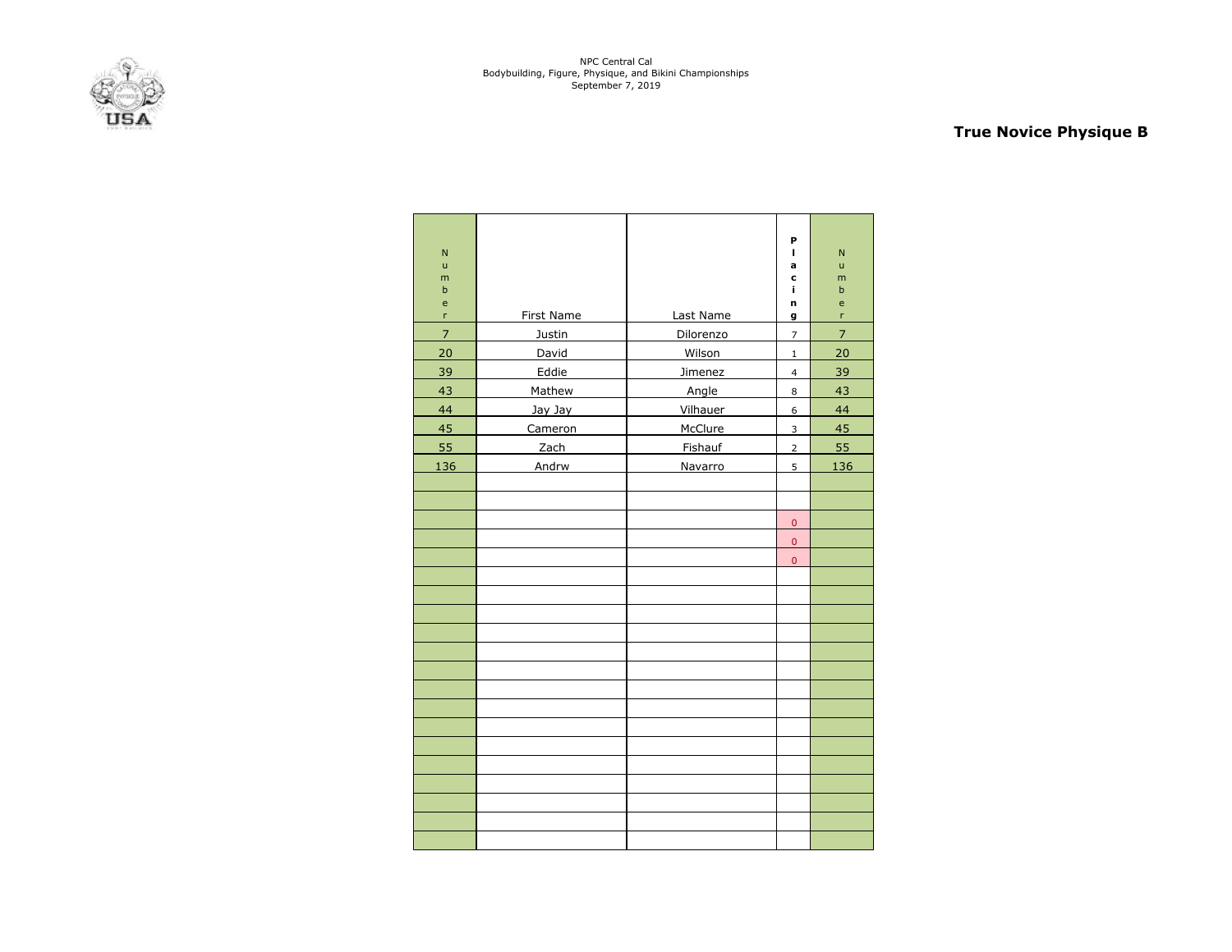

# **True Novice Physique B**

| N<br>$\mathsf{u}$<br>m<br>$\sf b$<br>e<br>r | <b>First Name</b> | Last Name | P<br>L<br>a<br>c<br>i,<br>n<br>g | N<br>ū<br>m<br>$\mathbf b$<br>e<br>r |
|---------------------------------------------|-------------------|-----------|----------------------------------|--------------------------------------|
| $\overline{\mathcal{I}}$                    | Justin            | Dilorenzo | $\overline{7}$                   | $\overline{\mathcal{L}}$             |
| 20                                          | David             | Wilson    | $\mathbf 1$                      | 20                                   |
| 39                                          | Eddie             | Jimenez   | $\overline{\mathbf{4}}$          | 39                                   |
| 43                                          | Mathew            | Angle     | 8                                | 43                                   |
| 44                                          | Jay Jay           | Vilhauer  | 6                                | 44                                   |
| 45                                          | Cameron           | McClure   | 3                                | 45                                   |
| 55                                          | Zach              | Fishauf   | $\overline{2}$                   | 55                                   |
| 136                                         | Andrw             | Navarro   | 5                                | 136                                  |
|                                             |                   |           |                                  |                                      |
|                                             |                   |           |                                  |                                      |
|                                             |                   |           | $\pmb{0}$                        |                                      |
|                                             |                   |           | $\pmb{0}$                        |                                      |
|                                             |                   |           | $\overline{0}$                   |                                      |
|                                             |                   |           |                                  |                                      |
|                                             |                   |           |                                  |                                      |
|                                             |                   |           |                                  |                                      |
|                                             |                   |           |                                  |                                      |
|                                             |                   |           |                                  |                                      |
|                                             |                   |           |                                  |                                      |
|                                             |                   |           |                                  |                                      |
|                                             |                   |           |                                  |                                      |
|                                             |                   |           |                                  |                                      |
|                                             |                   |           |                                  |                                      |
|                                             |                   |           |                                  |                                      |
|                                             |                   |           |                                  |                                      |
|                                             |                   |           |                                  |                                      |
|                                             |                   |           |                                  |                                      |
|                                             |                   |           |                                  |                                      |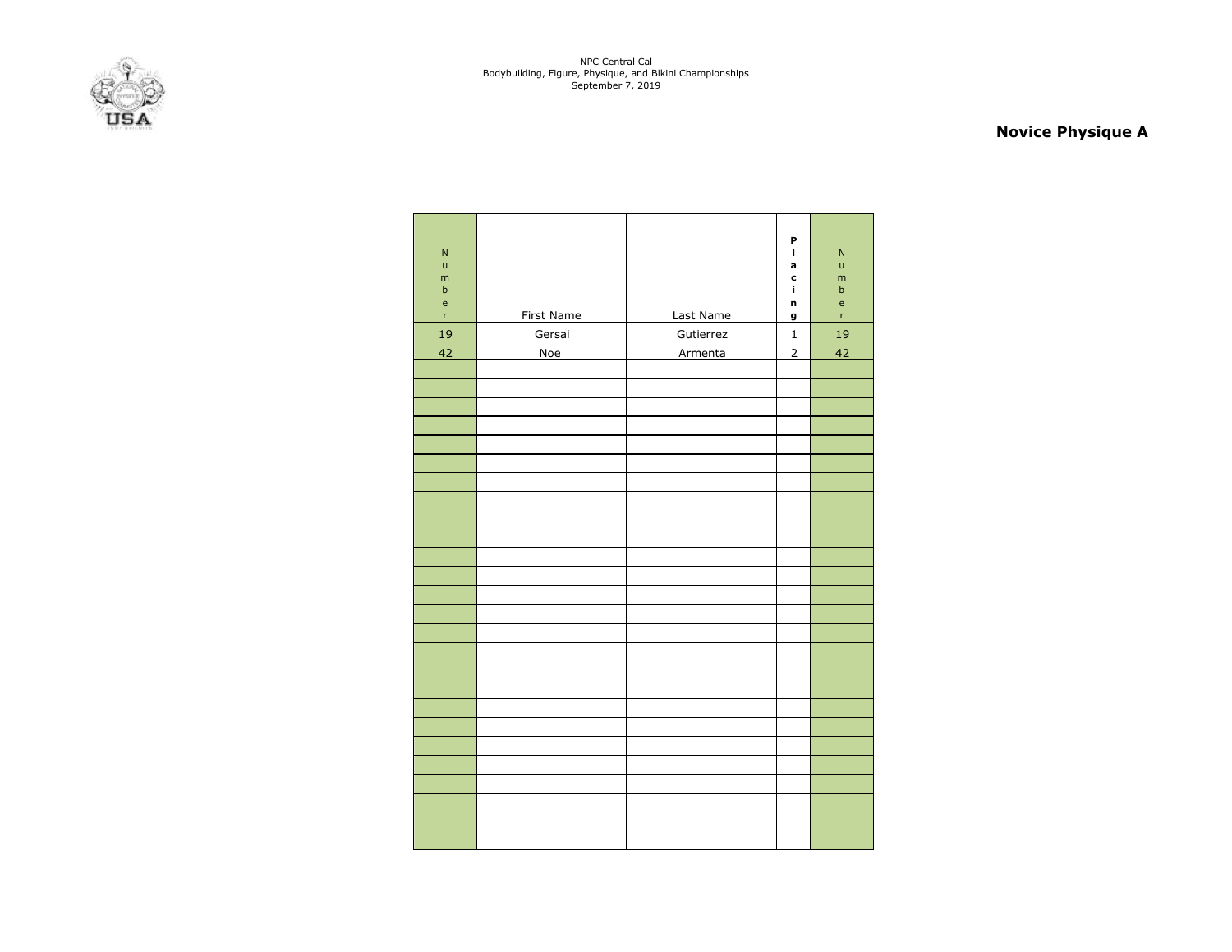

# **Novice Physique A**

| $\overline{\mathsf{N}}$<br>$\mathsf{u}$<br>m<br>$\mathsf b$<br>$\mathsf{e}% _{t}\left( t\right)$ |                   |           | P<br>$\blacksquare$<br>a<br>c<br>Ĩ.<br>n | ${\sf N}$<br>ū<br>m<br>$\sf b$<br>$\mathsf{e}% _{t}\left( t\right)$ |
|--------------------------------------------------------------------------------------------------|-------------------|-----------|------------------------------------------|---------------------------------------------------------------------|
| 'n                                                                                               | <b>First Name</b> | Last Name | g                                        | 'n                                                                  |
| 19                                                                                               | Gersai            | Gutierrez | $\mathbf 1$                              | 19                                                                  |
| 42                                                                                               | Noe               | Armenta   | $\overline{2}$                           | 42                                                                  |
|                                                                                                  |                   |           |                                          |                                                                     |
|                                                                                                  |                   |           |                                          |                                                                     |
|                                                                                                  |                   |           |                                          |                                                                     |
|                                                                                                  |                   |           |                                          |                                                                     |
|                                                                                                  |                   |           |                                          |                                                                     |
|                                                                                                  |                   |           |                                          |                                                                     |
|                                                                                                  |                   |           |                                          |                                                                     |
|                                                                                                  |                   |           |                                          |                                                                     |
|                                                                                                  |                   |           |                                          |                                                                     |
|                                                                                                  |                   |           |                                          |                                                                     |
|                                                                                                  |                   |           |                                          |                                                                     |
|                                                                                                  |                   |           |                                          |                                                                     |
|                                                                                                  |                   |           |                                          |                                                                     |
|                                                                                                  |                   |           |                                          |                                                                     |
|                                                                                                  |                   |           |                                          |                                                                     |
|                                                                                                  |                   |           |                                          |                                                                     |
|                                                                                                  |                   |           |                                          |                                                                     |
|                                                                                                  |                   |           |                                          |                                                                     |
|                                                                                                  |                   |           |                                          |                                                                     |
|                                                                                                  |                   |           |                                          |                                                                     |
|                                                                                                  |                   |           |                                          |                                                                     |
|                                                                                                  |                   |           |                                          |                                                                     |
|                                                                                                  |                   |           |                                          |                                                                     |
|                                                                                                  |                   |           |                                          |                                                                     |
|                                                                                                  |                   |           |                                          |                                                                     |
|                                                                                                  |                   |           |                                          |                                                                     |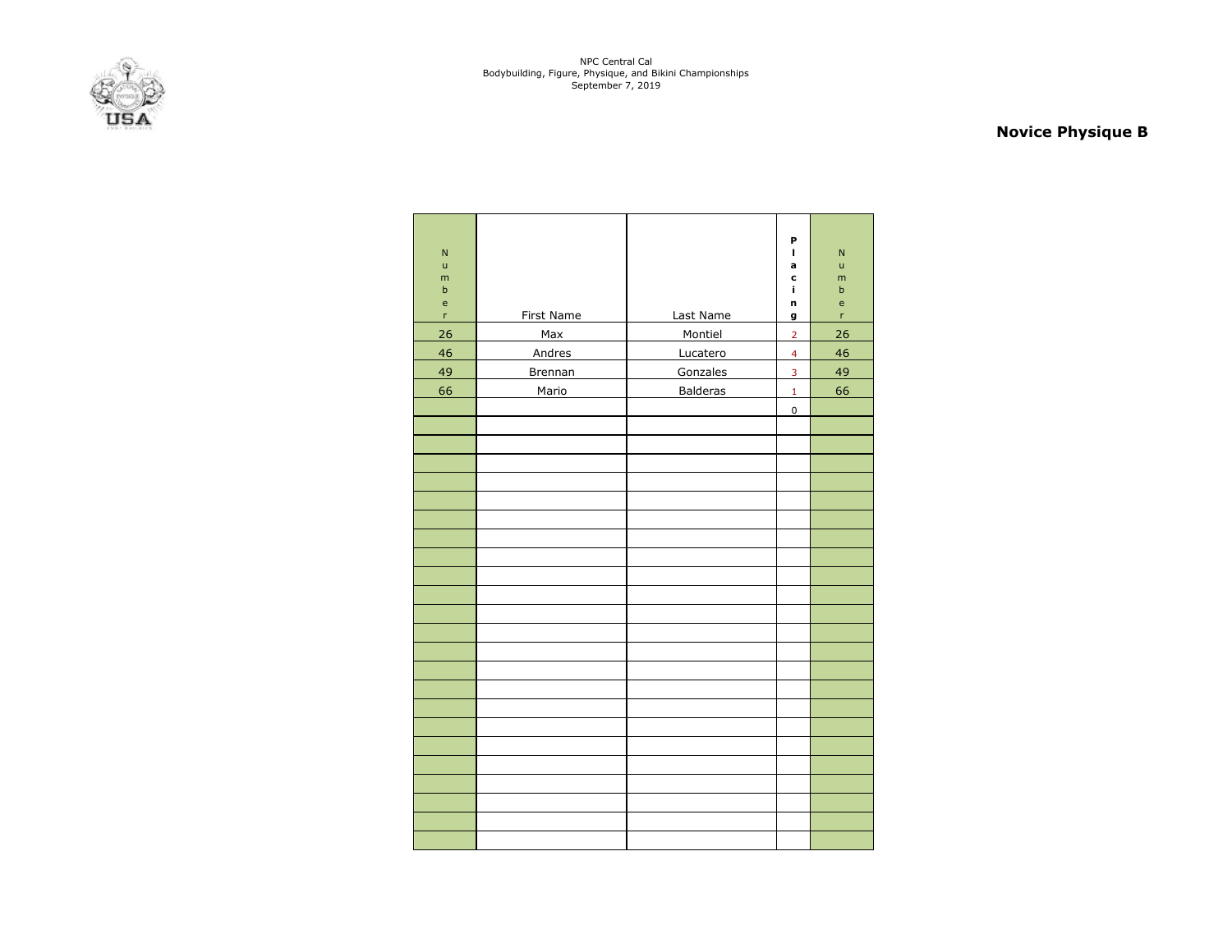

# **Novice Physique B**

| $\overline{N}$<br>$\mathsf{u}$<br>m<br>$\mathsf b$<br>$\mathsf{e}% _{0}\left( \mathsf{e}_{0}\right)$<br>r<br>26<br>46<br>49 | <b>First Name</b><br>Max<br><b>Andres</b><br>Brennan | Last Name<br>Montiel<br>Lucatero<br>Gonzales | P<br>$\blacksquare$<br>a<br>c<br>ĩ.<br>n<br>g<br>$\overline{2}$<br>$\overline{\mathbf{4}}$<br>$\overline{\mathbf{3}}$ | $\overline{N}$<br>$\mathsf{u}$<br>m<br>$\mathsf b$<br>e<br>'n<br>26<br>46<br>49 |
|-----------------------------------------------------------------------------------------------------------------------------|------------------------------------------------------|----------------------------------------------|-----------------------------------------------------------------------------------------------------------------------|---------------------------------------------------------------------------------|
| 66                                                                                                                          | Mario                                                | <b>Balderas</b>                              | $\mathbf{1}$                                                                                                          | 66                                                                              |
|                                                                                                                             |                                                      |                                              | $\pmb{0}$                                                                                                             |                                                                                 |
|                                                                                                                             |                                                      |                                              |                                                                                                                       |                                                                                 |
|                                                                                                                             |                                                      |                                              |                                                                                                                       |                                                                                 |
|                                                                                                                             |                                                      |                                              |                                                                                                                       |                                                                                 |
|                                                                                                                             |                                                      |                                              |                                                                                                                       |                                                                                 |
|                                                                                                                             |                                                      |                                              |                                                                                                                       |                                                                                 |
|                                                                                                                             |                                                      |                                              |                                                                                                                       |                                                                                 |
|                                                                                                                             |                                                      |                                              |                                                                                                                       |                                                                                 |
|                                                                                                                             |                                                      |                                              |                                                                                                                       |                                                                                 |
|                                                                                                                             |                                                      |                                              |                                                                                                                       |                                                                                 |
|                                                                                                                             |                                                      |                                              |                                                                                                                       |                                                                                 |
|                                                                                                                             |                                                      |                                              |                                                                                                                       |                                                                                 |
|                                                                                                                             |                                                      |                                              |                                                                                                                       |                                                                                 |
|                                                                                                                             |                                                      |                                              |                                                                                                                       |                                                                                 |
|                                                                                                                             |                                                      |                                              |                                                                                                                       |                                                                                 |
|                                                                                                                             |                                                      |                                              |                                                                                                                       |                                                                                 |
|                                                                                                                             |                                                      |                                              |                                                                                                                       |                                                                                 |
|                                                                                                                             |                                                      |                                              |                                                                                                                       |                                                                                 |
|                                                                                                                             |                                                      |                                              |                                                                                                                       |                                                                                 |
|                                                                                                                             |                                                      |                                              |                                                                                                                       |                                                                                 |
|                                                                                                                             |                                                      |                                              |                                                                                                                       |                                                                                 |
|                                                                                                                             |                                                      |                                              |                                                                                                                       |                                                                                 |
|                                                                                                                             |                                                      |                                              |                                                                                                                       |                                                                                 |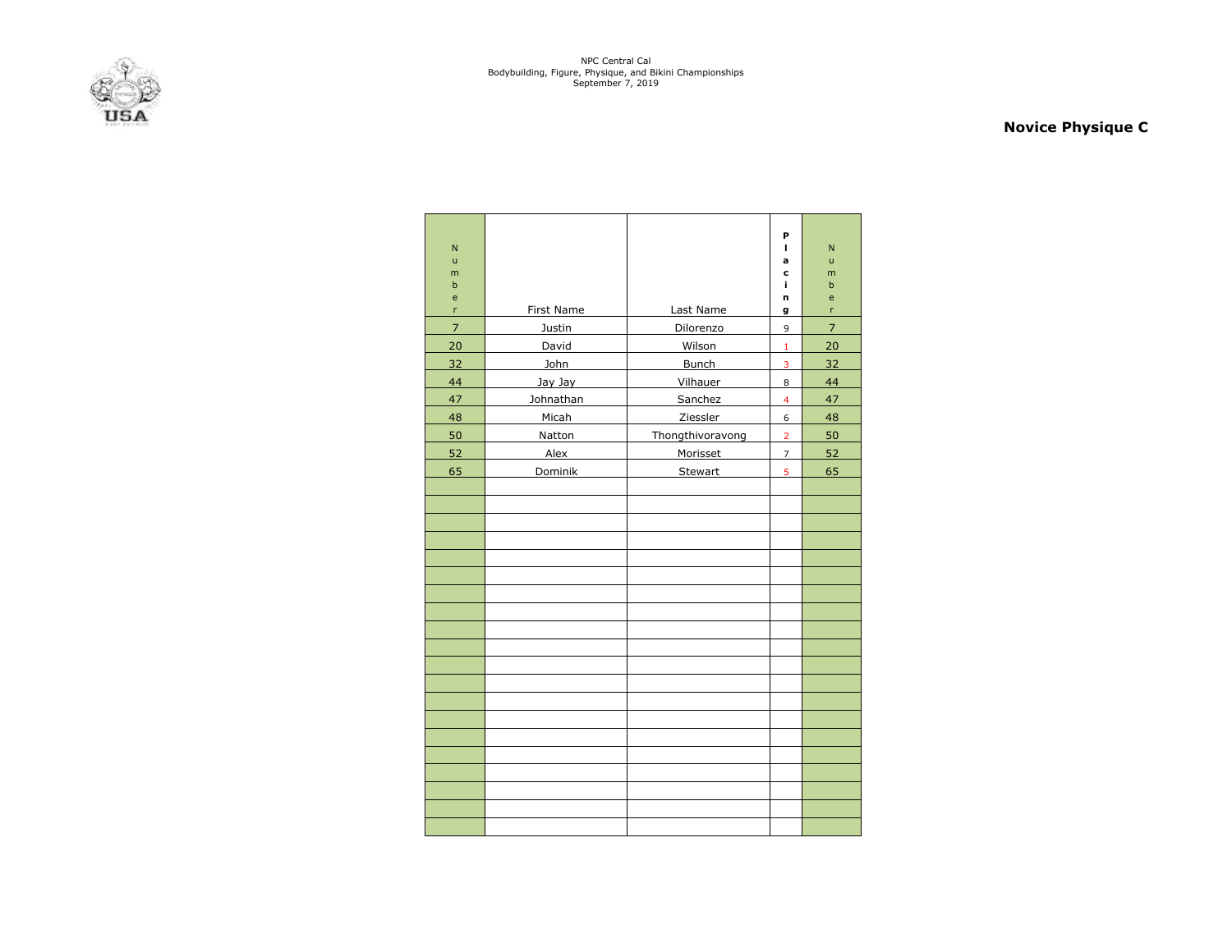

### **Novice Physique C**

| $\mathsf{N}$<br>ū |            |                  | P<br>п         | $\mathsf{N}$<br>ū |
|-------------------|------------|------------------|----------------|-------------------|
| m                 |            |                  | a<br>c         | m                 |
| $\mathbf b$       |            |                  | i,             | $\mathsf b$       |
| e                 |            |                  | n              | e                 |
| 'n                | First Name | Last Name        | g              | 'n                |
| $\overline{7}$    | Justin     | Dilorenzo        | 9              | $\overline{7}$    |
| 20                | David      | Wilson           | $\mathbf 1$    | 20                |
| 32                | John       | Bunch            | 3              | 32                |
| 44                | Jay Jay    | Vilhauer         | 8              | 44                |
| 47                | Johnathan  | Sanchez          | $\overline{4}$ | 47                |
| 48                | Micah      | Ziessler         | 6              | 48                |
| 50                | Natton     | Thongthivoravong | $\overline{2}$ | 50                |
| 52                | Alex       | Morisset         | $\overline{7}$ | 52                |
| 65                | Dominik    | Stewart          | 5              | 65                |
|                   |            |                  |                |                   |
|                   |            |                  |                |                   |
|                   |            |                  |                |                   |
|                   |            |                  |                |                   |
|                   |            |                  |                |                   |
|                   |            |                  |                |                   |
|                   |            |                  |                |                   |
|                   |            |                  |                |                   |
|                   |            |                  |                |                   |
|                   |            |                  |                |                   |
|                   |            |                  |                |                   |
|                   |            |                  |                |                   |
|                   |            |                  |                |                   |
|                   |            |                  |                |                   |
|                   |            |                  |                |                   |
|                   |            |                  |                |                   |
|                   |            |                  |                |                   |
|                   |            |                  |                |                   |
|                   |            |                  |                |                   |
|                   |            |                  |                |                   |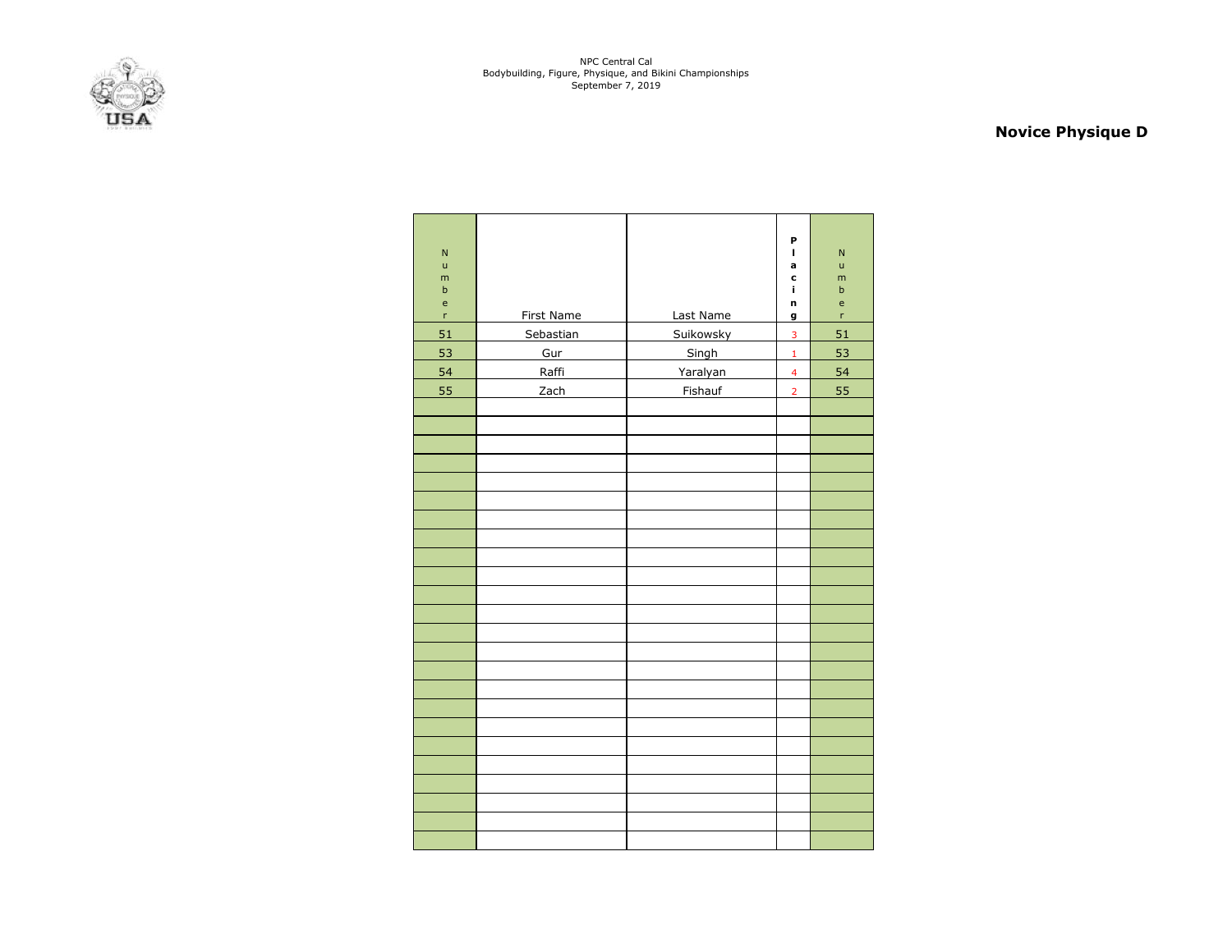

# **Novice Physique D**

| $\overline{N}$<br>ū<br>m<br>$\mathsf b$<br>e<br>$\mathsf{r}$ | <b>First Name</b> | Last Name | P<br>$\mathbf{I}$<br>a<br>c<br>Ĩ.<br>n<br>g | $\overline{N}$<br>$\mathsf{u}$<br>m<br>$\sf b$<br>e<br>r |
|--------------------------------------------------------------|-------------------|-----------|---------------------------------------------|----------------------------------------------------------|
| 51                                                           | Sebastian         | Suikowsky | 3                                           | 51                                                       |
| 53                                                           | Gur               | Singh     | $\mathbf 1$                                 | 53                                                       |
| 54                                                           | Raffi             | Yaralyan  | $\overline{4}$                              | 54                                                       |
| 55                                                           | Zach              | Fishauf   | $\overline{2}$                              | 55                                                       |
|                                                              |                   |           |                                             |                                                          |
|                                                              |                   |           |                                             |                                                          |
|                                                              |                   |           |                                             |                                                          |
|                                                              |                   |           |                                             |                                                          |
|                                                              |                   |           |                                             |                                                          |
|                                                              |                   |           |                                             |                                                          |
|                                                              |                   |           |                                             |                                                          |
|                                                              |                   |           |                                             |                                                          |
|                                                              |                   |           |                                             |                                                          |
|                                                              |                   |           |                                             |                                                          |
|                                                              |                   |           |                                             |                                                          |
|                                                              |                   |           |                                             |                                                          |
|                                                              |                   |           |                                             |                                                          |
|                                                              |                   |           |                                             |                                                          |
|                                                              |                   |           |                                             |                                                          |
|                                                              |                   |           |                                             |                                                          |
|                                                              |                   |           |                                             |                                                          |
|                                                              |                   |           |                                             |                                                          |
|                                                              |                   |           |                                             |                                                          |
|                                                              |                   |           |                                             |                                                          |
|                                                              |                   |           |                                             |                                                          |
|                                                              |                   |           |                                             |                                                          |
|                                                              |                   |           |                                             |                                                          |
|                                                              |                   |           |                                             |                                                          |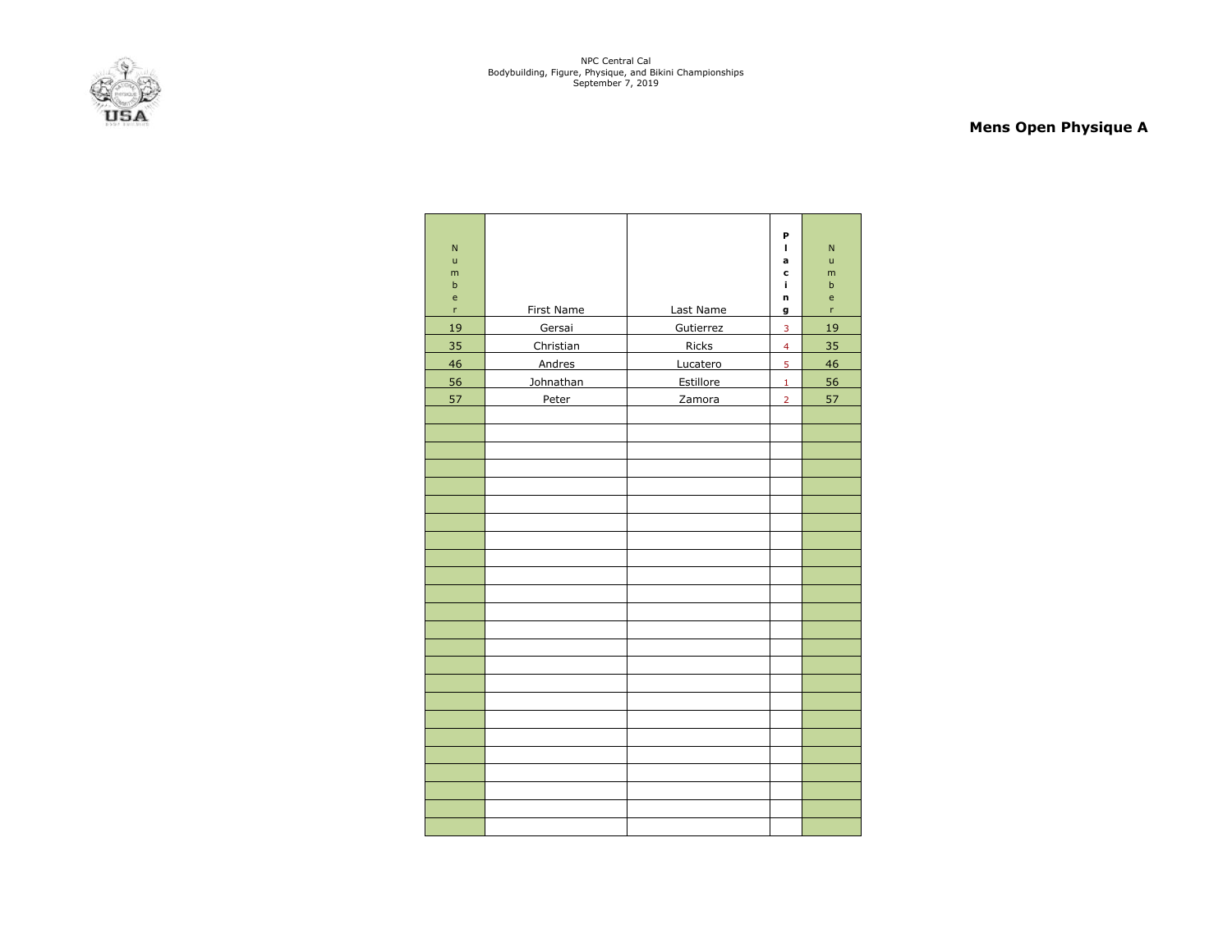

### **Mens Open Physique A**

| N<br>ū<br>m<br>$\mathsf b$<br>e<br>r | First Name | Last Name    | P<br>г<br>a<br>c<br>ĩ.<br>n<br>g | N<br>$\mathsf{u}$<br>m<br>$\mathsf b$<br>$\mathsf{e}$<br>'n |
|--------------------------------------|------------|--------------|----------------------------------|-------------------------------------------------------------|
| 19                                   | Gersai     | Gutierrez    | 3                                | 19                                                          |
| 35                                   | Christian  | <b>Ricks</b> | $\overline{4}$                   | 35                                                          |
| 46                                   | Andres     | Lucatero     | 5                                | 46                                                          |
| 56                                   | Johnathan  | Estillore    | $\mathbf{1}$                     | 56                                                          |
| 57                                   | Peter      | Zamora       | $\overline{2}$                   | 57                                                          |
|                                      |            |              |                                  |                                                             |
|                                      |            |              |                                  |                                                             |
|                                      |            |              |                                  |                                                             |
|                                      |            |              |                                  |                                                             |
|                                      |            |              |                                  |                                                             |
|                                      |            |              |                                  |                                                             |
|                                      |            |              |                                  |                                                             |
|                                      |            |              |                                  |                                                             |
|                                      |            |              |                                  |                                                             |
|                                      |            |              |                                  |                                                             |
|                                      |            |              |                                  |                                                             |
|                                      |            |              |                                  |                                                             |
|                                      |            |              |                                  |                                                             |
|                                      |            |              |                                  |                                                             |
|                                      |            |              |                                  |                                                             |
|                                      |            |              |                                  |                                                             |
|                                      |            |              |                                  |                                                             |
|                                      |            |              |                                  |                                                             |
|                                      |            |              |                                  |                                                             |
|                                      |            |              |                                  |                                                             |
|                                      |            |              |                                  |                                                             |
|                                      |            |              |                                  |                                                             |
|                                      |            |              |                                  |                                                             |
|                                      |            |              |                                  |                                                             |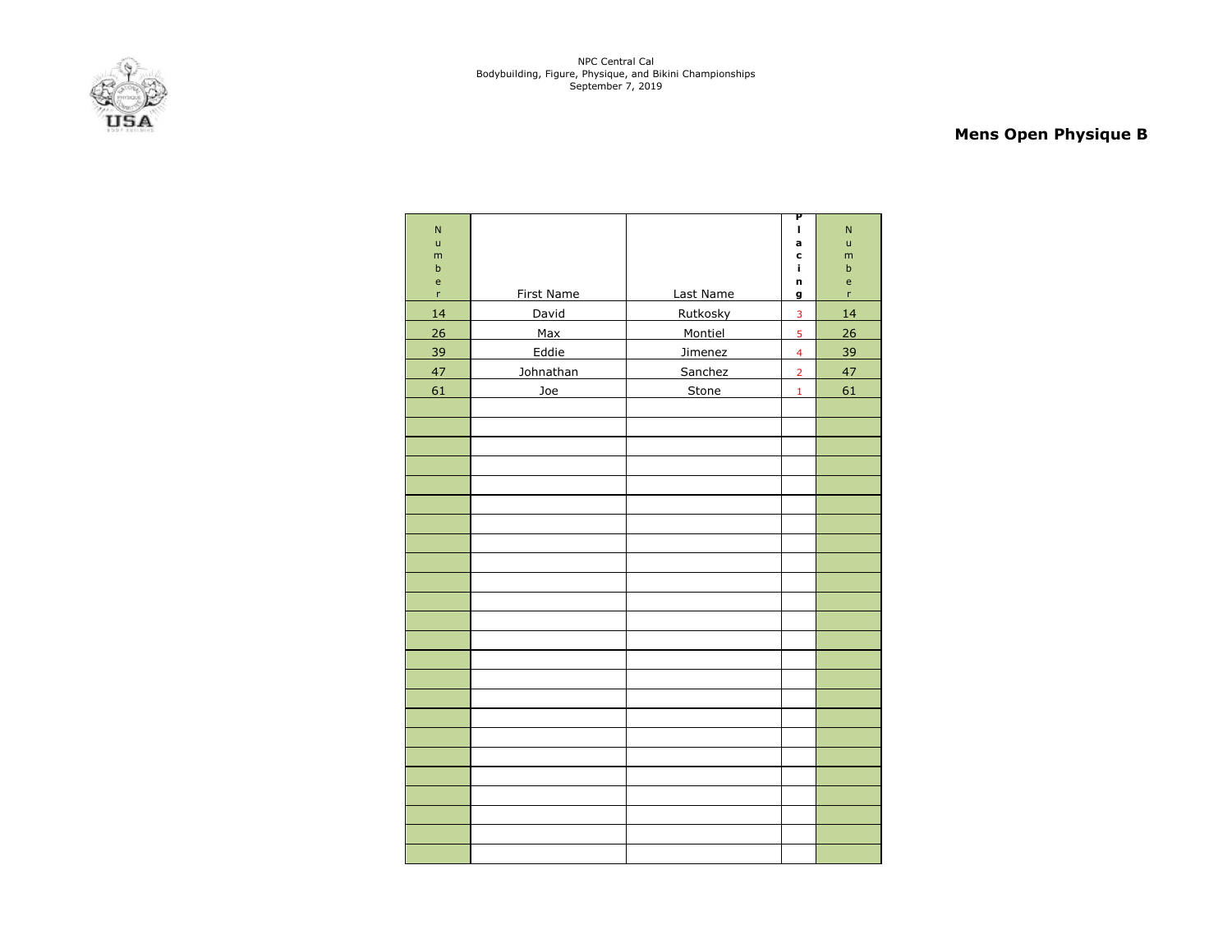

# **Mens Open Physique B**

| $\overline{\mathsf{N}}$ |                   |           | P<br>$\mathbf{I}$       | $\overline{\mathsf{N}}$ |
|-------------------------|-------------------|-----------|-------------------------|-------------------------|
| ū                       |                   |           | a                       | $\mathsf{u}$            |
| m<br>$\sf b$            |                   |           | C<br>ĩ.                 | m<br>$\sf b$            |
| e                       |                   |           | n                       | e                       |
| $\mathsf{r}$            | <b>First Name</b> | Last Name | g                       | 'n                      |
| 14                      | David             | Rutkosky  | $\overline{\mathbf{3}}$ | 14                      |
| 26                      | Max               | Montiel   | 5                       | 26                      |
| 39                      | Eddie             | Jimenez   | $\overline{4}$          | 39                      |
| 47                      | Johnathan         | Sanchez   | $\overline{2}$          | 47                      |
| 61                      | Joe               | Stone     | $\mathbf 1$             | 61                      |
|                         |                   |           |                         |                         |
|                         |                   |           |                         |                         |
|                         |                   |           |                         |                         |
|                         |                   |           |                         |                         |
|                         |                   |           |                         |                         |
|                         |                   |           |                         |                         |
|                         |                   |           |                         |                         |
|                         |                   |           |                         |                         |
|                         |                   |           |                         |                         |
|                         |                   |           |                         |                         |
|                         |                   |           |                         |                         |
|                         |                   |           |                         |                         |
|                         |                   |           |                         |                         |
|                         |                   |           |                         |                         |
|                         |                   |           |                         |                         |
|                         |                   |           |                         |                         |
|                         |                   |           |                         |                         |
|                         |                   |           |                         |                         |
|                         |                   |           |                         |                         |
|                         |                   |           |                         |                         |
|                         |                   |           |                         |                         |
|                         |                   |           |                         |                         |
|                         |                   |           |                         |                         |
|                         |                   |           |                         |                         |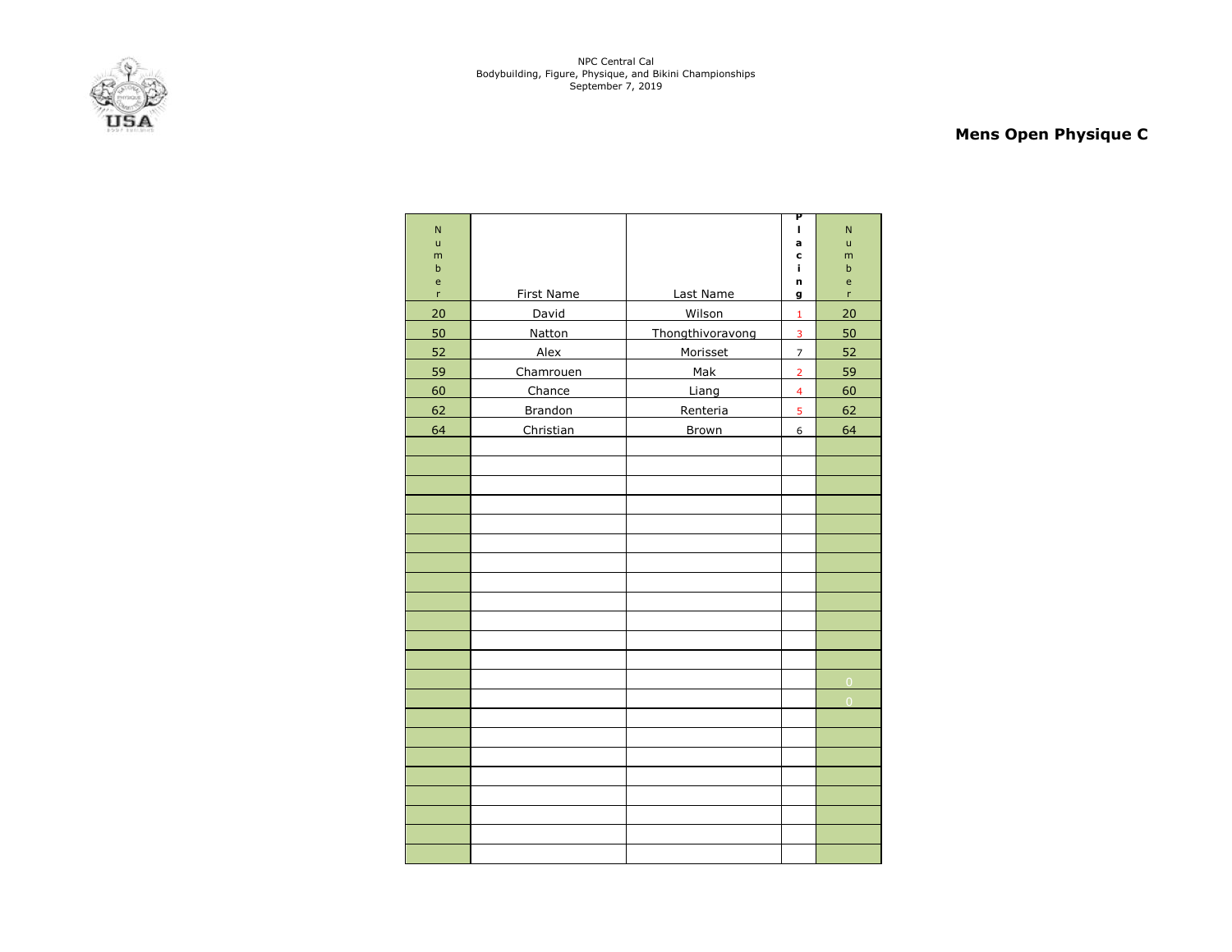

# **Mens Open Physique C**

|                   |                   |                  | P                       |                |
|-------------------|-------------------|------------------|-------------------------|----------------|
| N                 |                   |                  | I.                      | N              |
| $\mathsf{u}$<br>m |                   |                  | a<br>C                  | ū<br>m         |
| $\mathbf b$       |                   |                  | i,                      | $\sf b$        |
| e<br>r            | <b>First Name</b> | Last Name        | n<br>g                  | e<br>r         |
| 20                | David             | Wilson           | $\mathbf 1$             | 20             |
| 50                | Natton            |                  |                         | 50             |
|                   |                   | Thongthivoravong | 3                       |                |
| 52                | Alex              | Morisset         | $\overline{7}$          | 52             |
| 59                | Chamrouen         | Mak              | $\overline{2}$          | 59             |
| 60                | Chance            | Liang            | $\overline{\mathbf{4}}$ | 60             |
| 62                | <b>Brandon</b>    | Renteria         | 5                       | 62             |
| 64                | Christian         | <b>Brown</b>     | 6                       | 64             |
|                   |                   |                  |                         |                |
|                   |                   |                  |                         |                |
|                   |                   |                  |                         |                |
|                   |                   |                  |                         |                |
|                   |                   |                  |                         |                |
|                   |                   |                  |                         |                |
|                   |                   |                  |                         |                |
|                   |                   |                  |                         |                |
|                   |                   |                  |                         |                |
|                   |                   |                  |                         |                |
|                   |                   |                  |                         |                |
|                   |                   |                  |                         |                |
|                   |                   |                  |                         | $\overline{0}$ |
|                   |                   |                  |                         | $\overline{0}$ |
|                   |                   |                  |                         |                |
|                   |                   |                  |                         |                |
|                   |                   |                  |                         |                |
|                   |                   |                  |                         |                |
|                   |                   |                  |                         |                |
|                   |                   |                  |                         |                |
|                   |                   |                  |                         |                |
|                   |                   |                  |                         |                |
|                   |                   |                  |                         |                |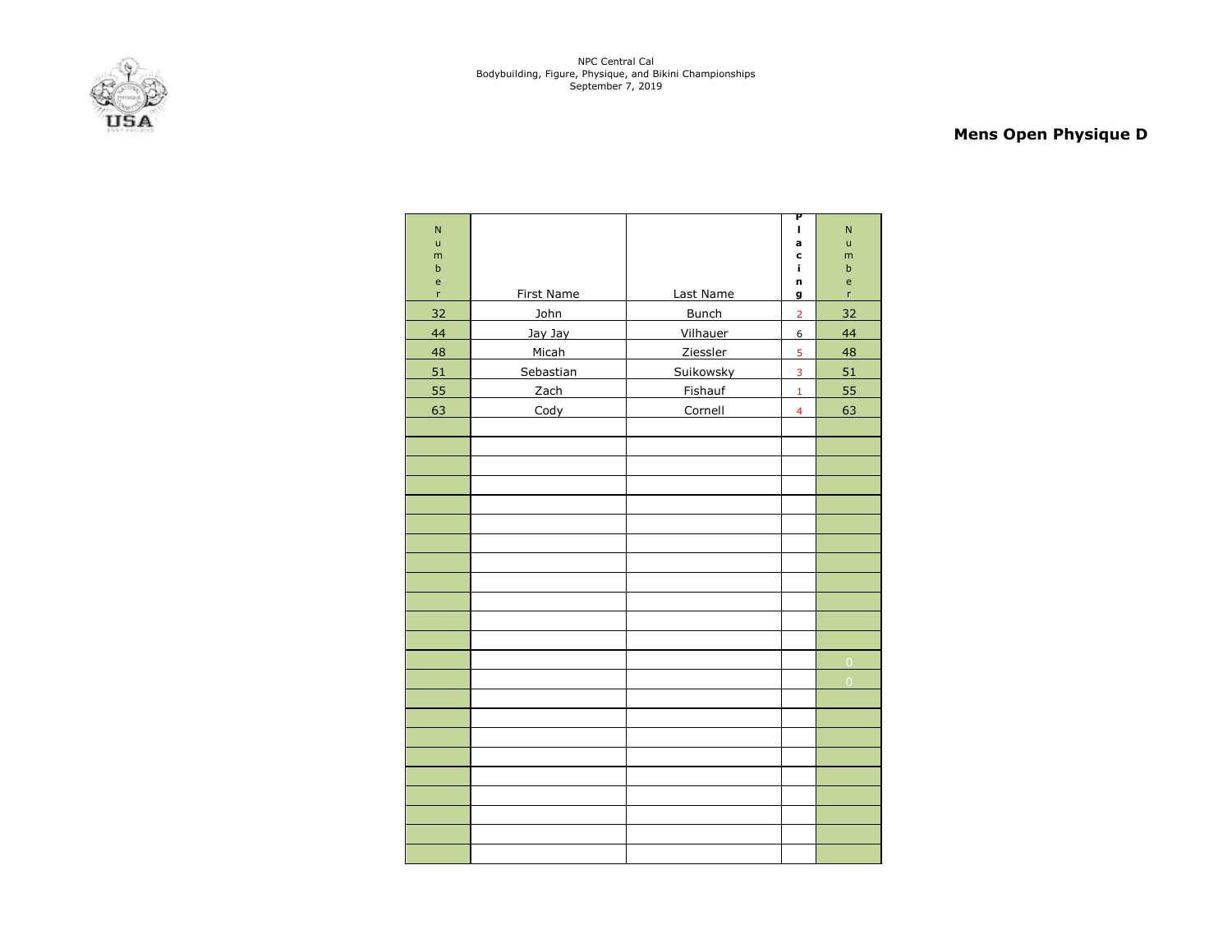

# **Mens Open Physique D**

| $\overline{\mathsf{N}}$ |                   |                  | Ρ<br>п                  | $\overline{\mathsf{N}}$ |
|-------------------------|-------------------|------------------|-------------------------|-------------------------|
| $\mathsf{u}$            |                   |                  | a                       | $\mathsf{u}$            |
| m<br>$\sf b$            |                   |                  | C<br>i,                 | m<br>$\sf b$            |
| e                       |                   |                  | n                       | e                       |
| 'n                      | <b>First Name</b> | Last Name        | g                       | 'n                      |
| 32                      | John              | <b>Bunch</b>     | $\overline{2}$          | 32                      |
| 44                      | Jay Jay           | Vilhauer         | 6                       | 44                      |
| 48                      | Micah             | Ziessler         | 5                       | 48                      |
| 51                      | Sebastian         | <b>Suikowsky</b> | $\overline{3}$          | 51                      |
| 55                      | Zach              | Fishauf          | $\mathbf 1$             | 55                      |
| 63                      | Cody              | Cornell          | $\overline{\mathbf{4}}$ | 63                      |
|                         |                   |                  |                         |                         |
|                         |                   |                  |                         |                         |
|                         |                   |                  |                         |                         |
|                         |                   |                  |                         |                         |
|                         |                   |                  |                         |                         |
|                         |                   |                  |                         |                         |
|                         |                   |                  |                         |                         |
|                         |                   |                  |                         |                         |
|                         |                   |                  |                         |                         |
|                         |                   |                  |                         |                         |
|                         |                   |                  |                         |                         |
|                         |                   |                  |                         |                         |
|                         |                   |                  |                         | $\overline{0}$          |
|                         |                   |                  |                         | $\overline{0}$          |
|                         |                   |                  |                         |                         |
|                         |                   |                  |                         |                         |
|                         |                   |                  |                         |                         |
|                         |                   |                  |                         |                         |
|                         |                   |                  |                         |                         |
|                         |                   |                  |                         |                         |
|                         |                   |                  |                         |                         |
|                         |                   |                  |                         |                         |
|                         |                   |                  |                         |                         |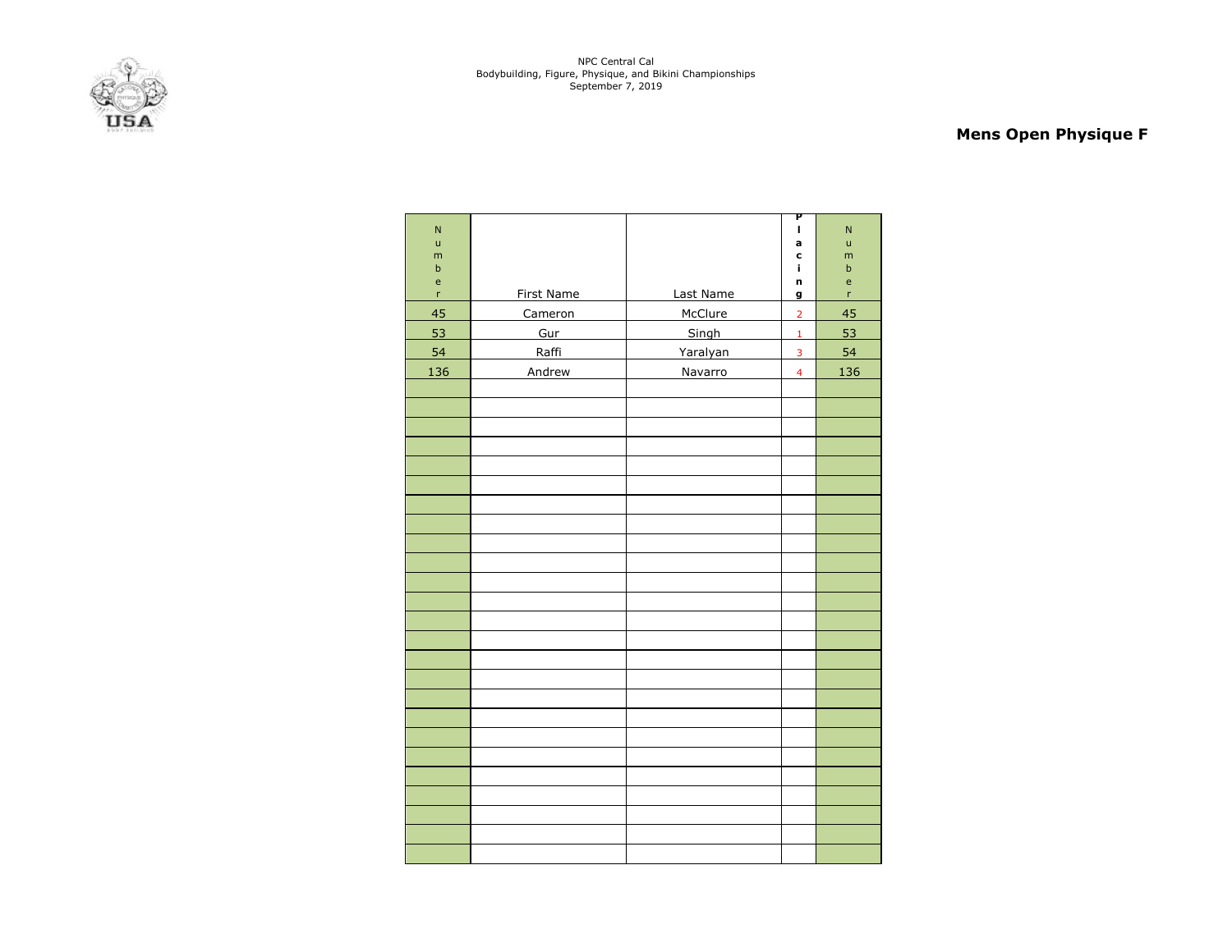

# **Mens Open Physique F**

| $\overline{\mathsf{N}}$                    |            |           | Ρ<br>$\mathbf{I}$ | $\overline{\mathsf{N}}$ |
|--------------------------------------------|------------|-----------|-------------------|-------------------------|
| $\mathsf{u}$                               |            |           | a                 | ū                       |
| m<br>$\sf b$                               |            |           | C<br>ĩ.           | m<br>$\mathbf b$        |
| $\mathsf{e}% _{0}\left( \mathsf{e}\right)$ |            |           | n                 | $\mathsf{e}$            |
| $\bar{\mathbf{r}}$                         | First Name | Last Name | g                 | 'n                      |
| 45                                         | Cameron    | McClure   | $\overline{2}$    | 45                      |
| 53                                         | Gur        | Singh     | $\mathbf 1$       | 53                      |
| 54                                         | Raffi      | Yaralyan  | $\overline{3}$    | 54                      |
| 136                                        | Andrew     | Navarro   | $\overline{4}$    | 136                     |
|                                            |            |           |                   |                         |
|                                            |            |           |                   |                         |
|                                            |            |           |                   |                         |
|                                            |            |           |                   |                         |
|                                            |            |           |                   |                         |
|                                            |            |           |                   |                         |
|                                            |            |           |                   |                         |
|                                            |            |           |                   |                         |
|                                            |            |           |                   |                         |
|                                            |            |           |                   |                         |
|                                            |            |           |                   |                         |
|                                            |            |           |                   |                         |
|                                            |            |           |                   |                         |
|                                            |            |           |                   |                         |
|                                            |            |           |                   |                         |
|                                            |            |           |                   |                         |
|                                            |            |           |                   |                         |
|                                            |            |           |                   |                         |
|                                            |            |           |                   |                         |
|                                            |            |           |                   |                         |
|                                            |            |           |                   |                         |
|                                            |            |           |                   |                         |
|                                            |            |           |                   |                         |
|                                            |            |           |                   |                         |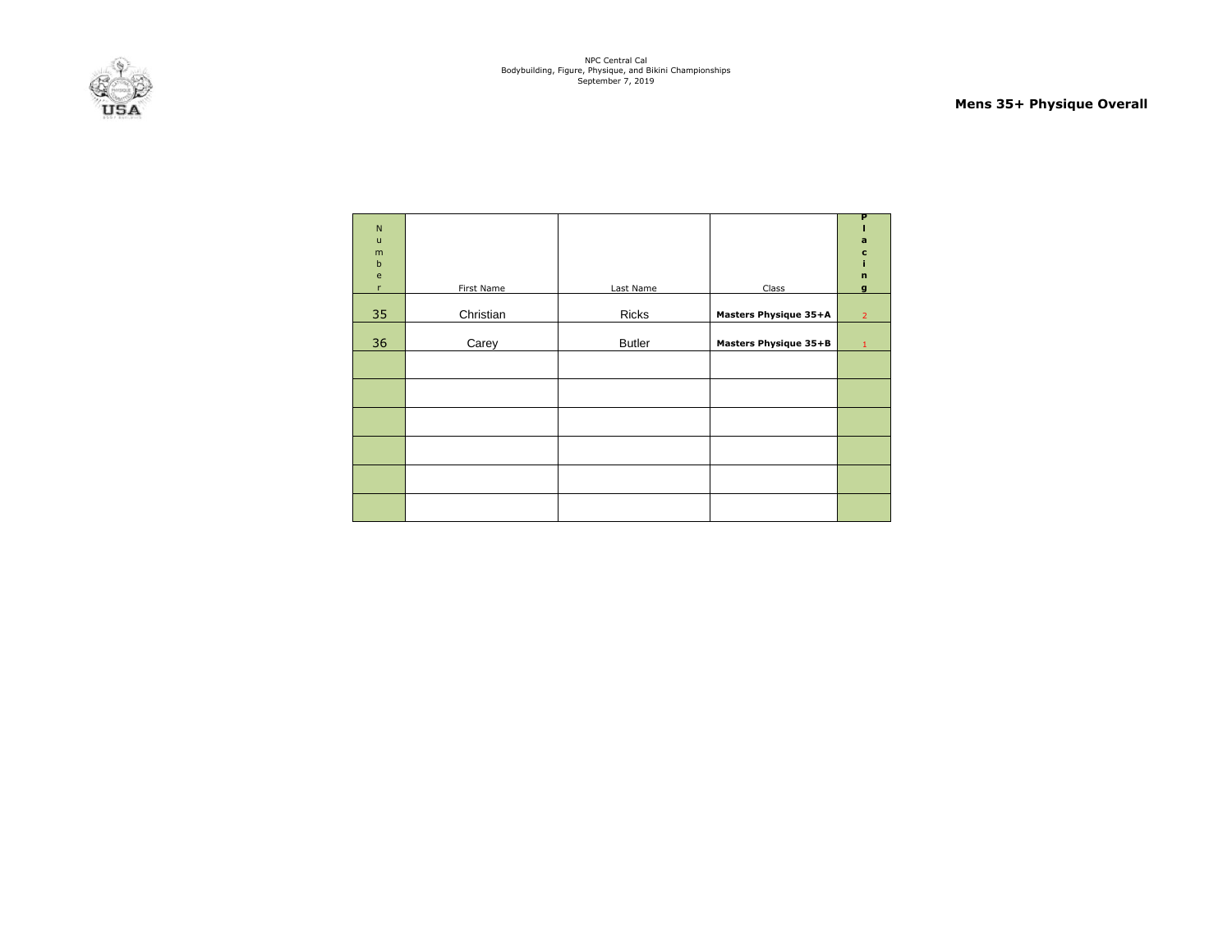

#### **Mens 35+ Physique Overall**

| ${\sf N}$<br>$\sf u$<br>m<br>$\mathbf b$<br>$\mathbf{e}% _{t}\left( t\right)$<br>r | First Name | Last Name     | Class                        | P<br>a<br>$\mathbf c$<br>$\mathbf n$<br>g |
|------------------------------------------------------------------------------------|------------|---------------|------------------------------|-------------------------------------------|
| 35                                                                                 | Christian  | Ricks         | <b>Masters Physique 35+A</b> | $\overline{2}$                            |
| 36                                                                                 | Carey      | <b>Butler</b> | Masters Physique 35+B        | $\mathbf{1}$                              |
|                                                                                    |            |               |                              |                                           |
|                                                                                    |            |               |                              |                                           |
|                                                                                    |            |               |                              |                                           |
|                                                                                    |            |               |                              |                                           |
|                                                                                    |            |               |                              |                                           |
|                                                                                    |            |               |                              |                                           |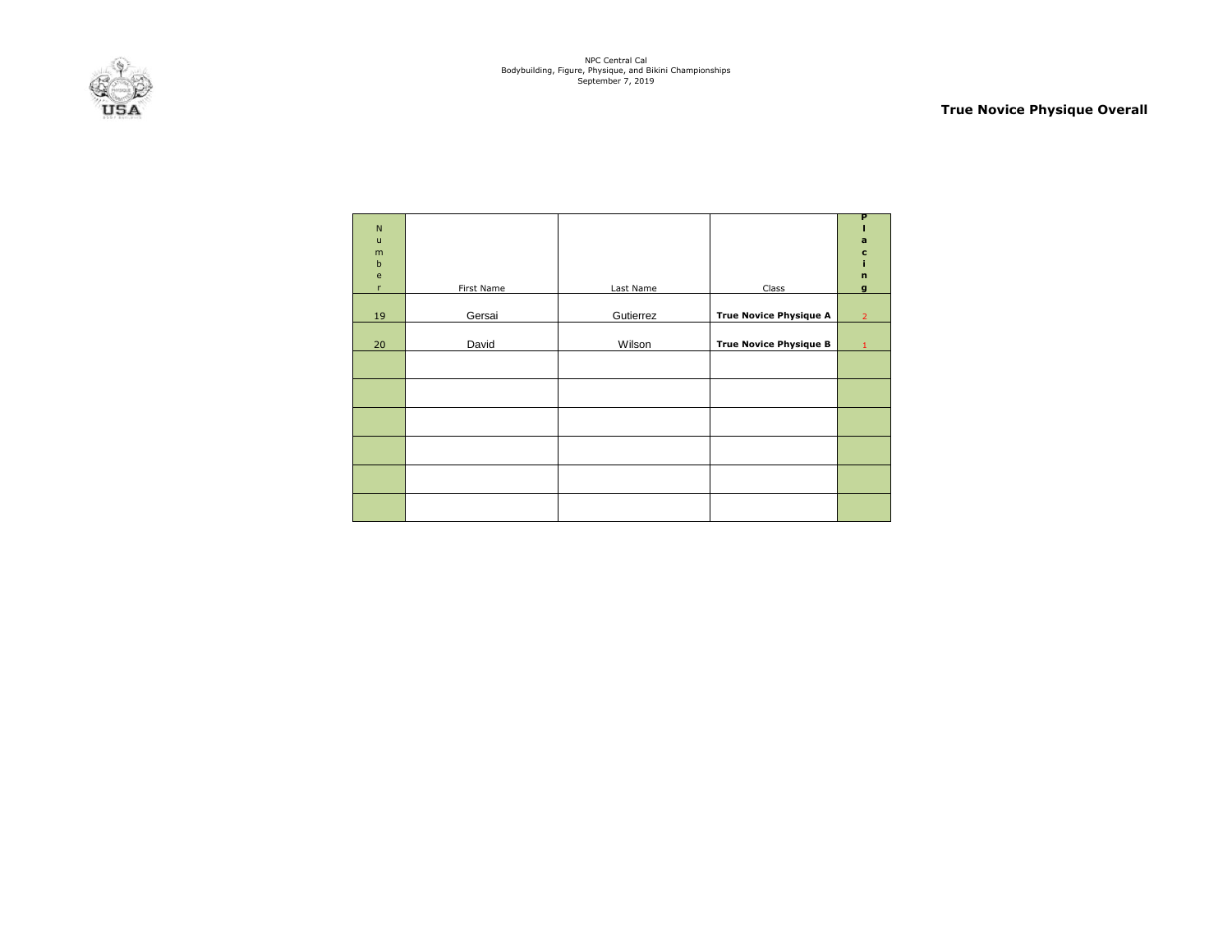

### **True Novice Physique Overall**

| ${\sf N}$<br>$\mathsf{u}$<br>m<br>$\mathbf b$<br>$\mathsf{e}$<br>$\mathsf{r}$ | First Name | Last Name | Class                         | P<br>a<br>$\mathbf c$<br>$\mathbf n$<br>$\mathbf{q}$ |
|-------------------------------------------------------------------------------|------------|-----------|-------------------------------|------------------------------------------------------|
|                                                                               |            |           |                               |                                                      |
| 19                                                                            | Gersai     | Gutierrez | <b>True Novice Physique A</b> | $\overline{2}$                                       |
| 20                                                                            | David      | Wilson    | <b>True Novice Physique B</b> | 1                                                    |
|                                                                               |            |           |                               |                                                      |
|                                                                               |            |           |                               |                                                      |
|                                                                               |            |           |                               |                                                      |
|                                                                               |            |           |                               |                                                      |
|                                                                               |            |           |                               |                                                      |
|                                                                               |            |           |                               |                                                      |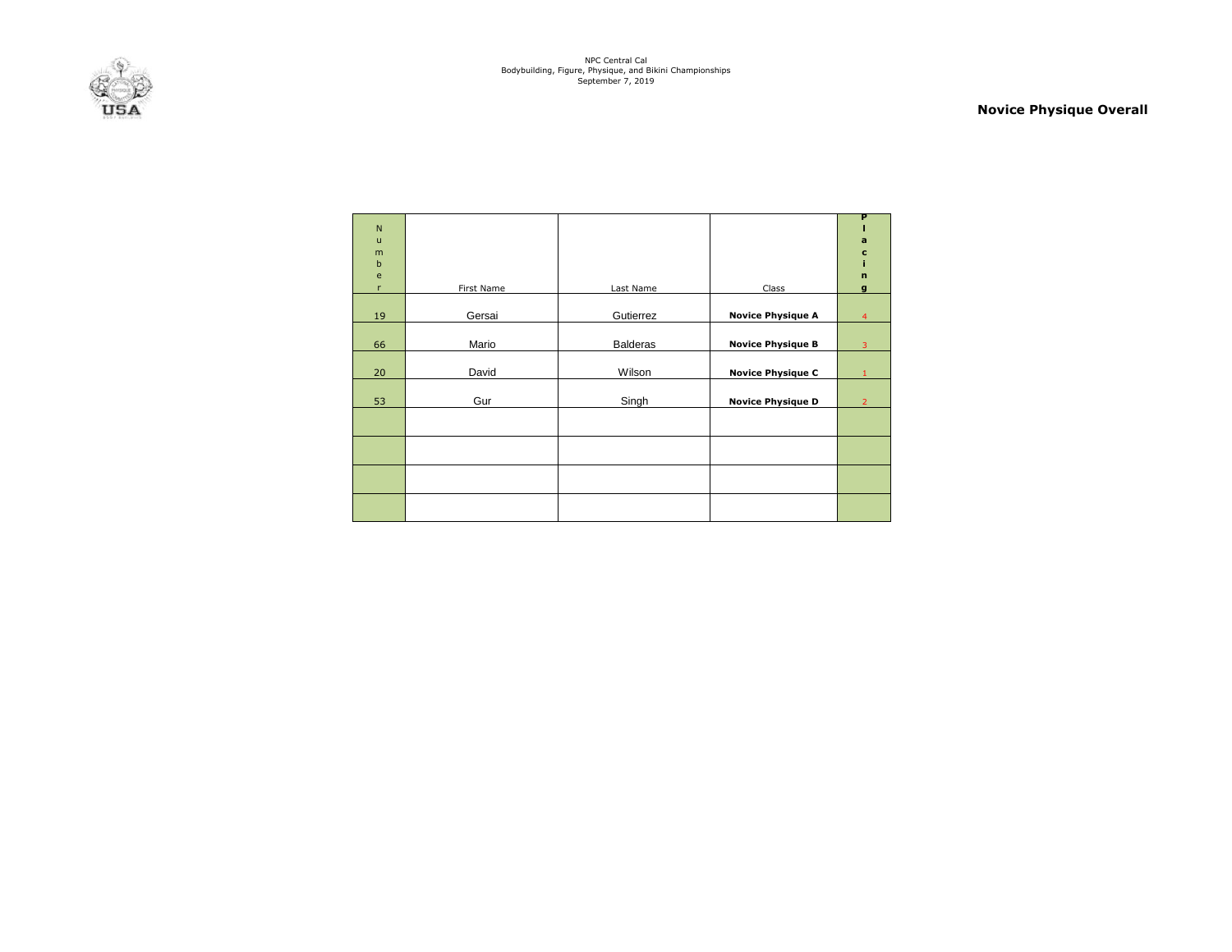

### **Novice Physique Overall**

| N<br>$\mathbf{u}$<br>m<br>$\mathbf b$<br>e |            |                 |                          | P<br>$\mathbf a$<br>$\mathbf c$<br>$\mathbf n$ |
|--------------------------------------------|------------|-----------------|--------------------------|------------------------------------------------|
| $\mathsf{r}$                               | First Name | Last Name       | Class                    | $\mathbf{q}$                                   |
| 19                                         | Gersai     | Gutierrez       | <b>Novice Physique A</b> | $\overline{4}$                                 |
| 66                                         | Mario      | <b>Balderas</b> | <b>Novice Physique B</b> | 3                                              |
| 20                                         | David      | Wilson          | <b>Novice Physique C</b> |                                                |
| 53                                         | Gur        | Singh           | <b>Novice Physique D</b> | $\overline{2}$                                 |
|                                            |            |                 |                          |                                                |
|                                            |            |                 |                          |                                                |
|                                            |            |                 |                          |                                                |
|                                            |            |                 |                          |                                                |